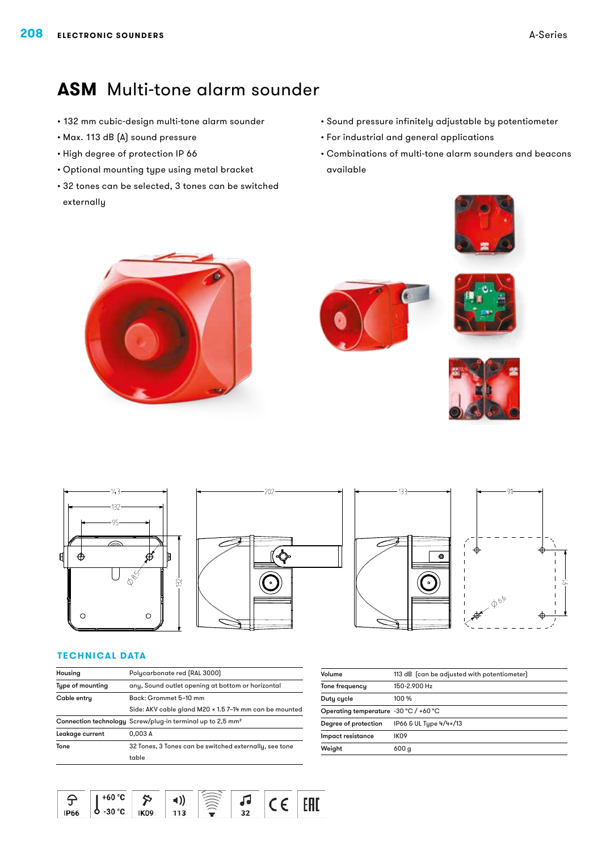## **ASM** Multi-tone alarm sounder

- • 132 mm cubic-design multi-tone alarm sounder
- • Max. 113 dB (A) sound pressure
- • High degree of protection IP 66
- • Optional mounting type using metal bracket
- • 32 tones can be selected, 3 tones can be switched externally
- • Sound pressure infinitely adjustable by potentiometer
- • For industrial and general applications
- • Combinations of multi-tone alarm sounders and beacons available















#### **Technical Data**

| Housing          | Polycarbonate red (RAL 3000)                                           |  |  |
|------------------|------------------------------------------------------------------------|--|--|
| Type of mounting | any, Sound outlet opening at bottom or horizontal                      |  |  |
| Cable entry      | Back: Grommet 5-10 mm                                                  |  |  |
|                  | Side: AKV cable gland M20 x 1.5 7-14 mm can be mounted                 |  |  |
|                  | Connection technology Screw/plug-in terminal up to 2,5 mm <sup>2</sup> |  |  |
| Leakage current  | 0.003A                                                                 |  |  |
| Tone             | 32 Tones, 3 Tones can be switched externally, see tone                 |  |  |
|                  | table                                                                  |  |  |
|                  |                                                                        |  |  |

| Volume                                | 113 dB (can be adjusted with potentiometer) |  |  |
|---------------------------------------|---------------------------------------------|--|--|
| Tone frequency                        | 150-2.900 Hz                                |  |  |
| Duty cycle                            | 100 %                                       |  |  |
| Operating temperature -30 °C / +60 °C |                                             |  |  |
| Degree of protection                  | IP66 & UL Type 4/4×/13                      |  |  |
| Impact resistance                     | IK <sub>09</sub>                            |  |  |
| Weight                                | 600 g                                       |  |  |
|                                       |                                             |  |  |